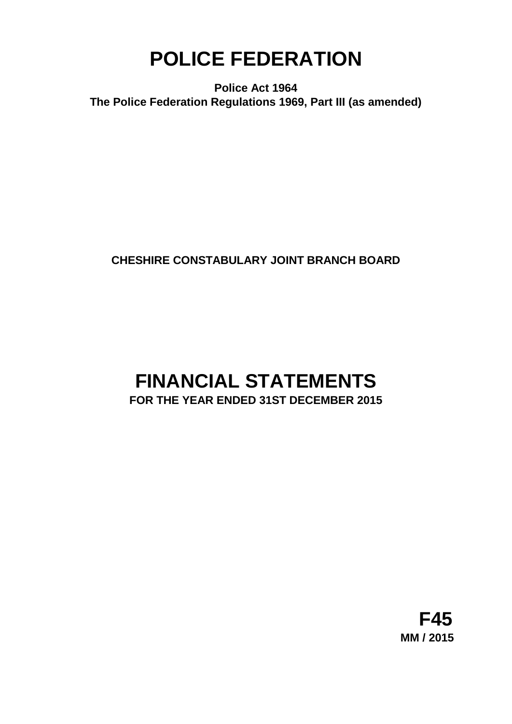# **POLICE FEDERATION**

**Police Act 1964 The Police Federation Regulations 1969, Part III (as amended)**

## **CHESHIRE CONSTABULARY JOINT BRANCH BOARD**

## **FINANCIAL STATEMENTS FOR THE YEAR ENDED 31ST DECEMBER 2015**

**F45 MM / 2015**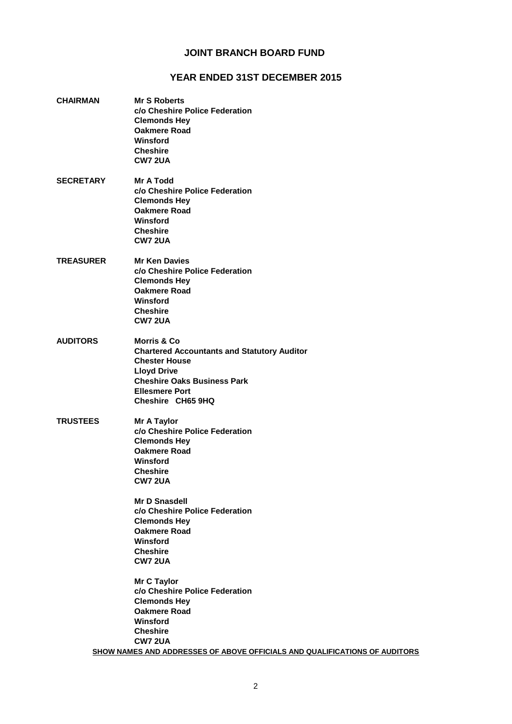### **JOINT BRANCH BOARD FUND**

#### **YEAR ENDED 31ST DECEMBER 2015**

**CHAIRMAN Mr S Roberts c/o Cheshire Police Federation Clemonds Hey Oakmere Road Winsford Cheshire CW7 2UA SECRETARY Mr A Todd c/o Cheshire Police Federation Clemonds Hey Oakmere Road Winsford Cheshire CW7 2UA TREASURER Mr Ken Davies c/o Cheshire Police Federation Clemonds Hey Oakmere Road Winsford Cheshire CW7 2UA AUDITORS Morris & Co Chartered Accountants and Statutory Auditor Chester House Lloyd Drive Cheshire Oaks Business Park Ellesmere Port Cheshire CH65 9HQ TRUSTEES Mr A Taylor c/o Cheshire Police Federation Clemonds Hey Oakmere Road Winsford Cheshire CW7 2UA Mr D Snasdell c/o Cheshire Police Federation Clemonds Hey Oakmere Road Winsford Cheshire CW7 2UA Mr C Taylor c/o Cheshire Police Federation Clemonds Hey Oakmere Road Winsford Cheshire CW7 2UA SHOW NAMES AND ADDRESSES OF ABOVE OFFICIALS AND QUALIFICATIONS OF AUDITORS**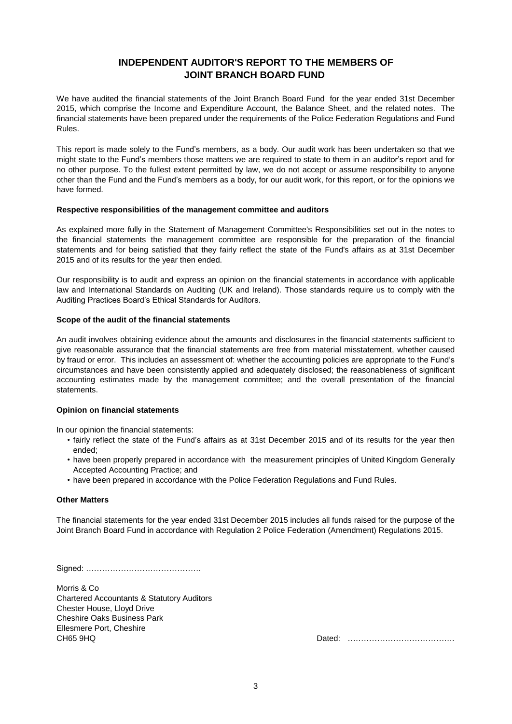## **JOINT BRANCH BOARD FUND INDEPENDENT AUDITOR'S REPORT TO THE MEMBERS OF**

We have audited the financial statements of the Joint Branch Board Fund for the year ended 31st December 2015, which comprise the Income and Expenditure Account, the Balance Sheet, and the related notes. The financial statements have been prepared under the requirements of the Police Federation Regulations and Fund Rules.

This report is made solely to the Fund's members, as a body. Our audit work has been undertaken so that we might state to the Fund's members those matters we are required to state to them in an auditor's report and for no other purpose. To the fullest extent permitted by law, we do not accept or assume responsibility to anyone other than the Fund and the Fund's members as a body, for our audit work, for this report, or for the opinions we have formed.

#### **Respective responsibilities of the management committee and auditors**

As explained more fully in the Statement of Management Committee's Responsibilities set out in the notes to the financial statements the management committee are responsible for the preparation of the financial statements and for being satisfied that they fairly reflect the state of the Fund's affairs as at 31st December 2015 and of its results for the year then ended.

Our responsibility is to audit and express an opinion on the financial statements in accordance with applicable law and International Standards on Auditing (UK and Ireland). Those standards require us to comply with the Auditing Practices Board's Ethical Standards for Auditors.

#### **Scope of the audit of the financial statements**

An audit involves obtaining evidence about the amounts and disclosures in the financial statements sufficient to give reasonable assurance that the financial statements are free from material misstatement, whether caused by fraud or error. This includes an assessment of: whether the accounting policies are appropriate to the Fund's circumstances and have been consistently applied and adequately disclosed; the reasonableness of significant accounting estimates made by the management committee; and the overall presentation of the financial statements.

#### **Opinion on financial statements**

In our opinion the financial statements:

- fairly reflect the state of the Fund's affairs as at 31st December 2015 and of its results for the year then ended;
- have been properly prepared in accordance with the measurement principles of United Kingdom Generally Accepted Accounting Practice; and
- have been prepared in accordance with the Police Federation Regulations and Fund Rules.

#### **Other Matters**

The financial statements for the year ended 31st December 2015 includes all funds raised for the purpose of the Joint Branch Board Fund in accordance with Regulation 2 Police Federation (Amendment) Regulations 2015.

Signed: …………………………………….

Morris & Co Chartered Accountants & Statutory Auditors Chester House, Lloyd Drive Cheshire Oaks Business Park Ellesmere Port, Cheshire<br>CH65 9HQ

Dated: …………………………………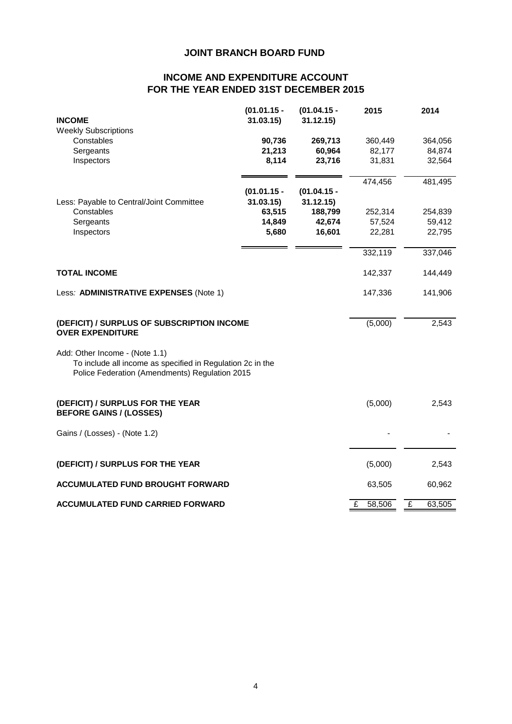## **JOINT BRANCH BOARD FUND**

## **FOR THE YEAR ENDED 31ST DECEMBER 2015 INCOME AND EXPENDITURE ACCOUNT**

|                                                                                                                                                | $(01.01.15 -$ | $(01.04.15 -$ | 2015        | 2014                     |
|------------------------------------------------------------------------------------------------------------------------------------------------|---------------|---------------|-------------|--------------------------|
| <b>INCOME</b>                                                                                                                                  | 31.03.15)     | 31.12.15)     |             |                          |
| <b>Weekly Subscriptions</b><br>Constables                                                                                                      | 90,736        | 269,713       | 360,449     | 364,056                  |
| Sergeants                                                                                                                                      | 21,213        | 60,964        | 82,177      | 84,874                   |
| Inspectors                                                                                                                                     | 8,114         | 23,716        | 31,831      | 32,564                   |
|                                                                                                                                                |               |               |             |                          |
|                                                                                                                                                |               |               | 474,456     | 481,495                  |
|                                                                                                                                                | $(01.01.15 -$ | $(01.04.15 -$ |             |                          |
| Less: Payable to Central/Joint Committee                                                                                                       | 31.03.15      | 31.12.15)     |             |                          |
| Constables                                                                                                                                     | 63,515        | 188,799       | 252,314     | 254,839                  |
| Sergeants                                                                                                                                      | 14,849        | 42,674        | 57,524      | 59,412                   |
| Inspectors                                                                                                                                     | 5,680         | 16,601        | 22,281      | 22,795                   |
|                                                                                                                                                |               |               | 332,119     | 337,046                  |
|                                                                                                                                                |               |               |             |                          |
| <b>TOTAL INCOME</b>                                                                                                                            |               |               | 142,337     | 144,449                  |
| Less: ADMINISTRATIVE EXPENSES (Note 1)                                                                                                         |               |               | 147,336     | 141,906                  |
| (DEFICIT) / SURPLUS OF SUBSCRIPTION INCOME<br><b>OVER EXPENDITURE</b>                                                                          |               |               | (5,000)     | 2,543                    |
| Add: Other Income - (Note 1.1)<br>To include all income as specified in Regulation 2c in the<br>Police Federation (Amendments) Regulation 2015 |               |               |             |                          |
| (DEFICIT) / SURPLUS FOR THE YEAR<br><b>BEFORE GAINS / (LOSSES)</b>                                                                             |               |               | (5,000)     | 2,543                    |
| Gains / (Losses) - (Note 1.2)                                                                                                                  |               |               |             |                          |
| (DEFICIT) / SURPLUS FOR THE YEAR                                                                                                               |               |               | (5,000)     | 2,543                    |
| <b>ACCUMULATED FUND BROUGHT FORWARD</b>                                                                                                        |               |               | 63,505      | 60,962                   |
| <b>ACCUMULATED FUND CARRIED FORWARD</b>                                                                                                        |               |               | 58,506<br>£ | $\overline{f}$<br>63,505 |
|                                                                                                                                                |               |               |             |                          |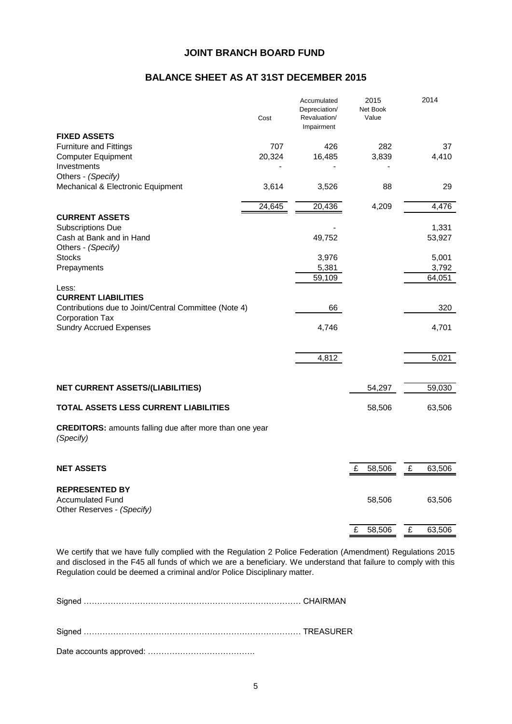### **JOINT BRANCH BOARD FUND**

## **BALANCE SHEET AS AT 31ST DECEMBER 2015**

|                                                                             | Cost   | Accumulated<br>Depreciation/<br>Revaluation/<br>Impairment |   | 2015<br>Net Book<br>Value |   | 2014   |
|-----------------------------------------------------------------------------|--------|------------------------------------------------------------|---|---------------------------|---|--------|
| <b>FIXED ASSETS</b>                                                         |        |                                                            |   |                           |   |        |
| <b>Furniture and Fittings</b>                                               | 707    | 426                                                        |   | 282                       |   | 37     |
| <b>Computer Equipment</b>                                                   | 20,324 | 16,485                                                     |   | 3,839                     |   | 4,410  |
| Investments                                                                 |        |                                                            |   |                           |   |        |
| Others - (Specify)<br>Mechanical & Electronic Equipment                     | 3,614  |                                                            |   | 88                        |   | 29     |
|                                                                             |        | 3,526                                                      |   |                           |   |        |
|                                                                             | 24,645 | 20,436                                                     |   | 4,209                     |   | 4,476  |
| <b>CURRENT ASSETS</b>                                                       |        |                                                            |   |                           |   |        |
| <b>Subscriptions Due</b>                                                    |        |                                                            |   |                           |   | 1,331  |
| Cash at Bank and in Hand                                                    |        | 49,752                                                     |   |                           |   | 53,927 |
| Others - (Specify)                                                          |        |                                                            |   |                           |   |        |
| <b>Stocks</b>                                                               |        | 3,976                                                      |   |                           |   | 5,001  |
| Prepayments                                                                 |        | 5,381                                                      |   |                           |   | 3,792  |
|                                                                             |        | 59,109                                                     |   |                           |   | 64,051 |
| Less:                                                                       |        |                                                            |   |                           |   |        |
| <b>CURRENT LIABILITIES</b>                                                  |        |                                                            |   |                           |   |        |
| Contributions due to Joint/Central Committee (Note 4)                       |        | 66                                                         |   |                           |   | 320    |
| Corporation Tax<br><b>Sundry Accrued Expenses</b>                           |        | 4,746                                                      |   |                           |   | 4,701  |
|                                                                             |        |                                                            |   |                           |   |        |
|                                                                             |        |                                                            |   |                           |   |        |
|                                                                             |        | 4,812                                                      |   |                           |   | 5,021  |
|                                                                             |        |                                                            |   |                           |   |        |
|                                                                             |        |                                                            |   |                           |   |        |
| <b>NET CURRENT ASSETS/(LIABILITIES)</b>                                     |        |                                                            |   | 54,297                    |   | 59,030 |
| <b>TOTAL ASSETS LESS CURRENT LIABILITIES</b>                                |        |                                                            |   | 58,506                    |   | 63,506 |
| <b>CREDITORS:</b> amounts falling due after more than one year<br>(Specify) |        |                                                            |   |                           |   |        |
| <b>NET ASSETS</b>                                                           |        |                                                            | £ | 58,506                    | £ | 63,506 |
|                                                                             |        |                                                            |   |                           |   |        |
| <b>REPRESENTED BY</b>                                                       |        |                                                            |   |                           |   |        |
| <b>Accumulated Fund</b>                                                     |        |                                                            |   | 58,506                    |   | 63,506 |
| Other Reserves - (Specify)                                                  |        |                                                            |   |                           |   |        |
|                                                                             |        |                                                            |   |                           |   |        |
|                                                                             |        |                                                            | £ | 58,506                    | £ | 63,506 |

We certify that we have fully complied with the Regulation 2 Police Federation (Amendment) Regulations 2015 and disclosed in the F45 all funds of which we are a beneficiary. We understand that failure to comply with this Regulation could be deemed a criminal and/or Police Disciplinary matter.

Signed ……………………………………………………………………… CHAIRMAN

Signed ……………………………………………………………………… TREASURER

Date accounts approved: ………………………………….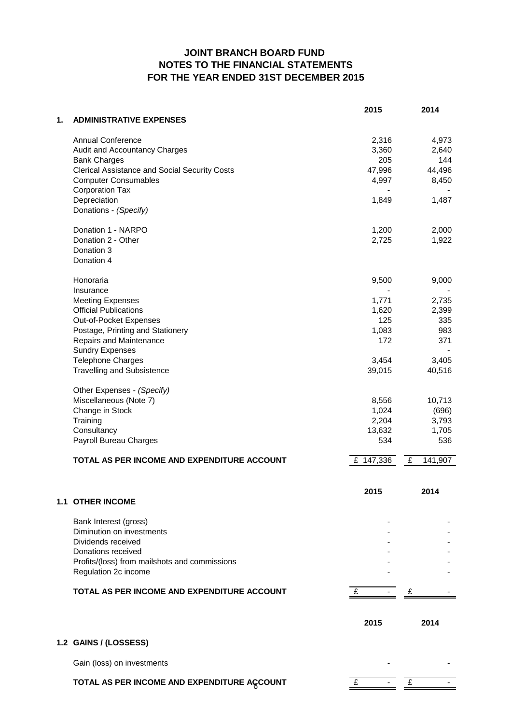## **FOR THE YEAR ENDED 31ST DECEMBER 2015 JOINT BRANCH BOARD FUND NOTES TO THE FINANCIAL STATEMENTS**

| 1.<br><b>ADMINISTRATIVE EXPENSES</b><br><b>Annual Conference</b><br>2,316<br>4,973<br>3,360<br>2,640<br>Audit and Accountancy Charges<br><b>Bank Charges</b><br>205<br>144<br><b>Clerical Assistance and Social Security Costs</b><br>47,996<br>44,496<br><b>Computer Consumables</b><br>4,997<br>8,450<br><b>Corporation Tax</b><br>Depreciation<br>1,487<br>1,849<br>Donations - (Specify)<br>Donation 1 - NARPO<br>2,000<br>1,200<br>Donation 2 - Other<br>2,725<br>1,922<br>Donation 3<br>Donation 4<br>Honoraria<br>9,500<br>9,000<br>Insurance<br><b>Meeting Expenses</b><br>1,771<br>2,735<br><b>Official Publications</b><br>1,620<br>2,399<br>125<br>Out-of-Pocket Expenses<br>335<br>Postage, Printing and Stationery<br>1,083<br>983<br>Repairs and Maintenance<br>172<br>371<br><b>Sundry Expenses</b><br>Telephone Charges<br>3,405<br>3,454<br><b>Travelling and Subsistence</b><br>39,015<br>40,516<br>Other Expenses - (Specify)<br>Miscellaneous (Note 7)<br>8,556<br>10,713<br>Change in Stock<br>1,024<br>(696)<br>Training<br>2,204<br>3,793<br>Consultancy<br>13,632<br>1,705<br>Payroll Bureau Charges<br>534<br>536<br>£ 147,336<br>141,907<br>TOTAL AS PER INCOME AND EXPENDITURE ACCOUNT<br>£<br>2015<br>2014<br><b>1.1 OTHER INCOME</b><br>Bank Interest (gross)<br>Diminution on investments<br>Dividends received<br>Donations received<br>Profits/(loss) from mailshots and commissions<br>Regulation 2c income<br>TOTAL AS PER INCOME AND EXPENDITURE ACCOUNT<br>£<br>£<br>2015<br>2014<br>1.2 GAINS / (LOSSESS)<br>Gain (loss) on investments<br>TOTAL AS PER INCOME AND EXPENDITURE ACCOUNT<br>£<br>£ |  | 2015 | 2014 |
|---------------------------------------------------------------------------------------------------------------------------------------------------------------------------------------------------------------------------------------------------------------------------------------------------------------------------------------------------------------------------------------------------------------------------------------------------------------------------------------------------------------------------------------------------------------------------------------------------------------------------------------------------------------------------------------------------------------------------------------------------------------------------------------------------------------------------------------------------------------------------------------------------------------------------------------------------------------------------------------------------------------------------------------------------------------------------------------------------------------------------------------------------------------------------------------------------------------------------------------------------------------------------------------------------------------------------------------------------------------------------------------------------------------------------------------------------------------------------------------------------------------------------------------------------------------------------------------------------------------------------------------|--|------|------|
|                                                                                                                                                                                                                                                                                                                                                                                                                                                                                                                                                                                                                                                                                                                                                                                                                                                                                                                                                                                                                                                                                                                                                                                                                                                                                                                                                                                                                                                                                                                                                                                                                                       |  |      |      |
|                                                                                                                                                                                                                                                                                                                                                                                                                                                                                                                                                                                                                                                                                                                                                                                                                                                                                                                                                                                                                                                                                                                                                                                                                                                                                                                                                                                                                                                                                                                                                                                                                                       |  |      |      |
|                                                                                                                                                                                                                                                                                                                                                                                                                                                                                                                                                                                                                                                                                                                                                                                                                                                                                                                                                                                                                                                                                                                                                                                                                                                                                                                                                                                                                                                                                                                                                                                                                                       |  |      |      |
|                                                                                                                                                                                                                                                                                                                                                                                                                                                                                                                                                                                                                                                                                                                                                                                                                                                                                                                                                                                                                                                                                                                                                                                                                                                                                                                                                                                                                                                                                                                                                                                                                                       |  |      |      |
|                                                                                                                                                                                                                                                                                                                                                                                                                                                                                                                                                                                                                                                                                                                                                                                                                                                                                                                                                                                                                                                                                                                                                                                                                                                                                                                                                                                                                                                                                                                                                                                                                                       |  |      |      |
|                                                                                                                                                                                                                                                                                                                                                                                                                                                                                                                                                                                                                                                                                                                                                                                                                                                                                                                                                                                                                                                                                                                                                                                                                                                                                                                                                                                                                                                                                                                                                                                                                                       |  |      |      |
|                                                                                                                                                                                                                                                                                                                                                                                                                                                                                                                                                                                                                                                                                                                                                                                                                                                                                                                                                                                                                                                                                                                                                                                                                                                                                                                                                                                                                                                                                                                                                                                                                                       |  |      |      |
|                                                                                                                                                                                                                                                                                                                                                                                                                                                                                                                                                                                                                                                                                                                                                                                                                                                                                                                                                                                                                                                                                                                                                                                                                                                                                                                                                                                                                                                                                                                                                                                                                                       |  |      |      |
|                                                                                                                                                                                                                                                                                                                                                                                                                                                                                                                                                                                                                                                                                                                                                                                                                                                                                                                                                                                                                                                                                                                                                                                                                                                                                                                                                                                                                                                                                                                                                                                                                                       |  |      |      |
|                                                                                                                                                                                                                                                                                                                                                                                                                                                                                                                                                                                                                                                                                                                                                                                                                                                                                                                                                                                                                                                                                                                                                                                                                                                                                                                                                                                                                                                                                                                                                                                                                                       |  |      |      |
|                                                                                                                                                                                                                                                                                                                                                                                                                                                                                                                                                                                                                                                                                                                                                                                                                                                                                                                                                                                                                                                                                                                                                                                                                                                                                                                                                                                                                                                                                                                                                                                                                                       |  |      |      |
|                                                                                                                                                                                                                                                                                                                                                                                                                                                                                                                                                                                                                                                                                                                                                                                                                                                                                                                                                                                                                                                                                                                                                                                                                                                                                                                                                                                                                                                                                                                                                                                                                                       |  |      |      |
|                                                                                                                                                                                                                                                                                                                                                                                                                                                                                                                                                                                                                                                                                                                                                                                                                                                                                                                                                                                                                                                                                                                                                                                                                                                                                                                                                                                                                                                                                                                                                                                                                                       |  |      |      |
|                                                                                                                                                                                                                                                                                                                                                                                                                                                                                                                                                                                                                                                                                                                                                                                                                                                                                                                                                                                                                                                                                                                                                                                                                                                                                                                                                                                                                                                                                                                                                                                                                                       |  |      |      |
|                                                                                                                                                                                                                                                                                                                                                                                                                                                                                                                                                                                                                                                                                                                                                                                                                                                                                                                                                                                                                                                                                                                                                                                                                                                                                                                                                                                                                                                                                                                                                                                                                                       |  |      |      |
|                                                                                                                                                                                                                                                                                                                                                                                                                                                                                                                                                                                                                                                                                                                                                                                                                                                                                                                                                                                                                                                                                                                                                                                                                                                                                                                                                                                                                                                                                                                                                                                                                                       |  |      |      |
|                                                                                                                                                                                                                                                                                                                                                                                                                                                                                                                                                                                                                                                                                                                                                                                                                                                                                                                                                                                                                                                                                                                                                                                                                                                                                                                                                                                                                                                                                                                                                                                                                                       |  |      |      |
|                                                                                                                                                                                                                                                                                                                                                                                                                                                                                                                                                                                                                                                                                                                                                                                                                                                                                                                                                                                                                                                                                                                                                                                                                                                                                                                                                                                                                                                                                                                                                                                                                                       |  |      |      |
|                                                                                                                                                                                                                                                                                                                                                                                                                                                                                                                                                                                                                                                                                                                                                                                                                                                                                                                                                                                                                                                                                                                                                                                                                                                                                                                                                                                                                                                                                                                                                                                                                                       |  |      |      |
|                                                                                                                                                                                                                                                                                                                                                                                                                                                                                                                                                                                                                                                                                                                                                                                                                                                                                                                                                                                                                                                                                                                                                                                                                                                                                                                                                                                                                                                                                                                                                                                                                                       |  |      |      |
|                                                                                                                                                                                                                                                                                                                                                                                                                                                                                                                                                                                                                                                                                                                                                                                                                                                                                                                                                                                                                                                                                                                                                                                                                                                                                                                                                                                                                                                                                                                                                                                                                                       |  |      |      |
|                                                                                                                                                                                                                                                                                                                                                                                                                                                                                                                                                                                                                                                                                                                                                                                                                                                                                                                                                                                                                                                                                                                                                                                                                                                                                                                                                                                                                                                                                                                                                                                                                                       |  |      |      |
|                                                                                                                                                                                                                                                                                                                                                                                                                                                                                                                                                                                                                                                                                                                                                                                                                                                                                                                                                                                                                                                                                                                                                                                                                                                                                                                                                                                                                                                                                                                                                                                                                                       |  |      |      |
|                                                                                                                                                                                                                                                                                                                                                                                                                                                                                                                                                                                                                                                                                                                                                                                                                                                                                                                                                                                                                                                                                                                                                                                                                                                                                                                                                                                                                                                                                                                                                                                                                                       |  |      |      |
|                                                                                                                                                                                                                                                                                                                                                                                                                                                                                                                                                                                                                                                                                                                                                                                                                                                                                                                                                                                                                                                                                                                                                                                                                                                                                                                                                                                                                                                                                                                                                                                                                                       |  |      |      |
|                                                                                                                                                                                                                                                                                                                                                                                                                                                                                                                                                                                                                                                                                                                                                                                                                                                                                                                                                                                                                                                                                                                                                                                                                                                                                                                                                                                                                                                                                                                                                                                                                                       |  |      |      |
|                                                                                                                                                                                                                                                                                                                                                                                                                                                                                                                                                                                                                                                                                                                                                                                                                                                                                                                                                                                                                                                                                                                                                                                                                                                                                                                                                                                                                                                                                                                                                                                                                                       |  |      |      |
|                                                                                                                                                                                                                                                                                                                                                                                                                                                                                                                                                                                                                                                                                                                                                                                                                                                                                                                                                                                                                                                                                                                                                                                                                                                                                                                                                                                                                                                                                                                                                                                                                                       |  |      |      |
|                                                                                                                                                                                                                                                                                                                                                                                                                                                                                                                                                                                                                                                                                                                                                                                                                                                                                                                                                                                                                                                                                                                                                                                                                                                                                                                                                                                                                                                                                                                                                                                                                                       |  |      |      |
|                                                                                                                                                                                                                                                                                                                                                                                                                                                                                                                                                                                                                                                                                                                                                                                                                                                                                                                                                                                                                                                                                                                                                                                                                                                                                                                                                                                                                                                                                                                                                                                                                                       |  |      |      |
|                                                                                                                                                                                                                                                                                                                                                                                                                                                                                                                                                                                                                                                                                                                                                                                                                                                                                                                                                                                                                                                                                                                                                                                                                                                                                                                                                                                                                                                                                                                                                                                                                                       |  |      |      |
|                                                                                                                                                                                                                                                                                                                                                                                                                                                                                                                                                                                                                                                                                                                                                                                                                                                                                                                                                                                                                                                                                                                                                                                                                                                                                                                                                                                                                                                                                                                                                                                                                                       |  |      |      |
|                                                                                                                                                                                                                                                                                                                                                                                                                                                                                                                                                                                                                                                                                                                                                                                                                                                                                                                                                                                                                                                                                                                                                                                                                                                                                                                                                                                                                                                                                                                                                                                                                                       |  |      |      |
|                                                                                                                                                                                                                                                                                                                                                                                                                                                                                                                                                                                                                                                                                                                                                                                                                                                                                                                                                                                                                                                                                                                                                                                                                                                                                                                                                                                                                                                                                                                                                                                                                                       |  |      |      |
|                                                                                                                                                                                                                                                                                                                                                                                                                                                                                                                                                                                                                                                                                                                                                                                                                                                                                                                                                                                                                                                                                                                                                                                                                                                                                                                                                                                                                                                                                                                                                                                                                                       |  |      |      |
|                                                                                                                                                                                                                                                                                                                                                                                                                                                                                                                                                                                                                                                                                                                                                                                                                                                                                                                                                                                                                                                                                                                                                                                                                                                                                                                                                                                                                                                                                                                                                                                                                                       |  |      |      |
|                                                                                                                                                                                                                                                                                                                                                                                                                                                                                                                                                                                                                                                                                                                                                                                                                                                                                                                                                                                                                                                                                                                                                                                                                                                                                                                                                                                                                                                                                                                                                                                                                                       |  |      |      |
|                                                                                                                                                                                                                                                                                                                                                                                                                                                                                                                                                                                                                                                                                                                                                                                                                                                                                                                                                                                                                                                                                                                                                                                                                                                                                                                                                                                                                                                                                                                                                                                                                                       |  |      |      |
|                                                                                                                                                                                                                                                                                                                                                                                                                                                                                                                                                                                                                                                                                                                                                                                                                                                                                                                                                                                                                                                                                                                                                                                                                                                                                                                                                                                                                                                                                                                                                                                                                                       |  |      |      |
|                                                                                                                                                                                                                                                                                                                                                                                                                                                                                                                                                                                                                                                                                                                                                                                                                                                                                                                                                                                                                                                                                                                                                                                                                                                                                                                                                                                                                                                                                                                                                                                                                                       |  |      |      |
|                                                                                                                                                                                                                                                                                                                                                                                                                                                                                                                                                                                                                                                                                                                                                                                                                                                                                                                                                                                                                                                                                                                                                                                                                                                                                                                                                                                                                                                                                                                                                                                                                                       |  |      |      |
|                                                                                                                                                                                                                                                                                                                                                                                                                                                                                                                                                                                                                                                                                                                                                                                                                                                                                                                                                                                                                                                                                                                                                                                                                                                                                                                                                                                                                                                                                                                                                                                                                                       |  |      |      |
|                                                                                                                                                                                                                                                                                                                                                                                                                                                                                                                                                                                                                                                                                                                                                                                                                                                                                                                                                                                                                                                                                                                                                                                                                                                                                                                                                                                                                                                                                                                                                                                                                                       |  |      |      |
|                                                                                                                                                                                                                                                                                                                                                                                                                                                                                                                                                                                                                                                                                                                                                                                                                                                                                                                                                                                                                                                                                                                                                                                                                                                                                                                                                                                                                                                                                                                                                                                                                                       |  |      |      |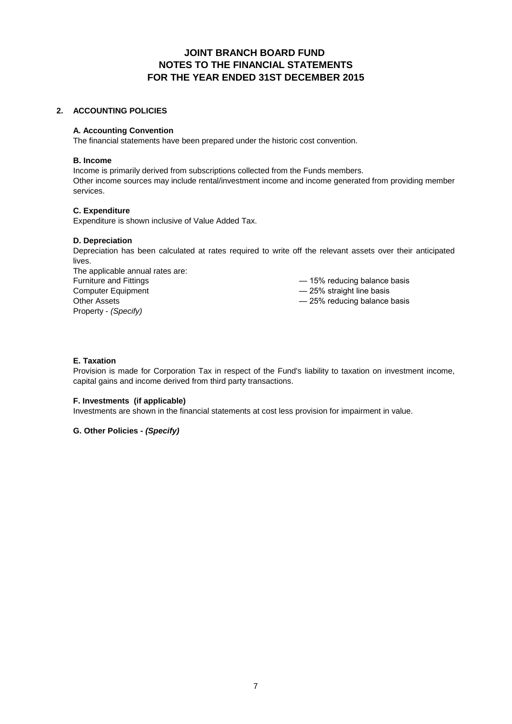## **JOINT BRANCH BOARD FUND NOTES TO THE FINANCIAL STATEMENTS FOR THE YEAR ENDED 31ST DECEMBER 2015**

#### **2. ACCOUNTING POLICIES**

#### **A. Accounting Convention**

The financial statements have been prepared under the historic cost convention.

#### **B. Income**

Other income sources may include rental/investment income and income generated from providing member services. Income is primarily derived from subscriptions collected from the Funds members.

#### **C. Expenditure**

Expenditure is shown inclusive of Value Added Tax.

#### **D. Depreciation**

Depreciation has been calculated at rates required to write off the relevant assets over their anticipated lives.

Property - *(Specify)* Computer Equipment Furniture and Fittings The applicable annual rates are: Other Assets

— 15% reducing balance basis

— 25% straight line basis

— 25% reducing balance basis

#### **E. Taxation**

Provision is made for Corporation Tax in respect of the Fund's liability to taxation on investment income, capital gains and income derived from third party transactions.

#### **F. Investments (if applicable)**

Investments are shown in the financial statements at cost less provision for impairment in value.

#### **G. Other Policies -** *(Specify)*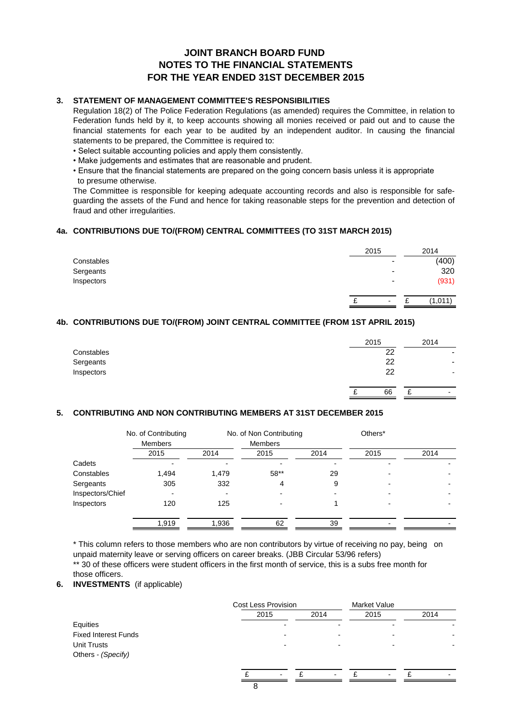## **JOINT BRANCH BOARD FUND FOR THE YEAR ENDED 31ST DECEMBER 2015 NOTES TO THE FINANCIAL STATEMENTS**

#### **3. STATEMENT OF MANAGEMENT COMMITTEE'S RESPONSIBILITIES**

Regulation 18(2) of The Police Federation Regulations (as amended) requires the Committee, in relation to Federation funds held by it, to keep accounts showing all monies received or paid out and to cause the financial statements for each year to be audited by an independent auditor. In causing the financial statements to be prepared, the Committee is required to:

- Select suitable accounting policies and apply them consistently.
- Make judgements and estimates that are reasonable and prudent.
- Ensure that the financial statements are prepared on the going concern basis unless it is appropriate to presume otherwise.

The Committee is responsible for keeping adequate accounting records and also is responsible for safeguarding the assets of the Fund and hence for taking reasonable steps for the prevention and detection of fraud and other irregularities.

#### **4a. CONTRIBUTIONS DUE TO/(FROM) CENTRAL COMMITTEES (TO 31ST MARCH 2015)**

|                          |      | 2014    |
|--------------------------|------|---------|
| $\overline{\phantom{a}}$ |      | (400)   |
| $\,$                     |      | 320     |
| $\overline{\phantom{a}}$ |      | (931)   |
| $\overline{\phantom{0}}$ |      | (1,011) |
|                          | 2015 |         |

#### **4b. CONTRIBUTIONS DUE TO/(FROM) JOINT CENTRAL COMMITTEE (FROM 1ST APRIL 2015)**

|            | 2015    |   | 2014                     |
|------------|---------|---|--------------------------|
| Constables | 22      |   | -                        |
| Sergeants  | 22      |   | $\overline{\phantom{a}}$ |
| Inspectors | 22      |   |                          |
|            | 66<br>r | ⌒ | $\blacksquare$           |

#### **5. CONTRIBUTING AND NON CONTRIBUTING MEMBERS AT 31ST DECEMBER 2015**

|                  | No. of Contributing      |       | No. of Non Contributing  |      | Others* |      |
|------------------|--------------------------|-------|--------------------------|------|---------|------|
|                  | <b>Members</b><br>2015   | 2014  | <b>Members</b><br>2015   | 2014 | 2015    | 2014 |
| Cadets           |                          |       |                          |      |         |      |
| Constables       | 1,494                    | 1,479 | 58**                     | 29   |         |      |
| Sergeants        | 305                      | 332   | 4                        | 9    |         |      |
| Inspectors/Chief | $\overline{\phantom{0}}$ |       | $\overline{\phantom{0}}$ |      |         |      |
| Inspectors       | 120                      | 125   |                          |      |         |      |
|                  | 1,919                    | 1,936 | 62                       | 39   |         |      |
|                  |                          |       |                          |      |         |      |

\*\* 30 of these officers were student officers in the first month of service, this is a subs free month for those officers. \* This column refers to those members who are non contributors by virtue of receiving no pay, being on unpaid maternity leave or serving officers on career breaks. (JBB Circular 53/96 refers)

#### **6. INVESTMENTS** (if applicable)

|                             | Cost Less Provision      |                          | <b>Market Value</b>      |      |
|-----------------------------|--------------------------|--------------------------|--------------------------|------|
|                             | 2015                     | 2014                     | 2015                     | 2014 |
| Equities                    |                          |                          |                          |      |
| <b>Fixed Interest Funds</b> |                          |                          |                          |      |
| Unit Trusts                 |                          |                          | $\overline{\phantom{0}}$ |      |
| Others - (Specify)          |                          |                          |                          |      |
|                             |                          |                          |                          |      |
|                             | $\overline{\phantom{a}}$ | $\overline{\phantom{0}}$ |                          |      |
|                             |                          |                          |                          |      |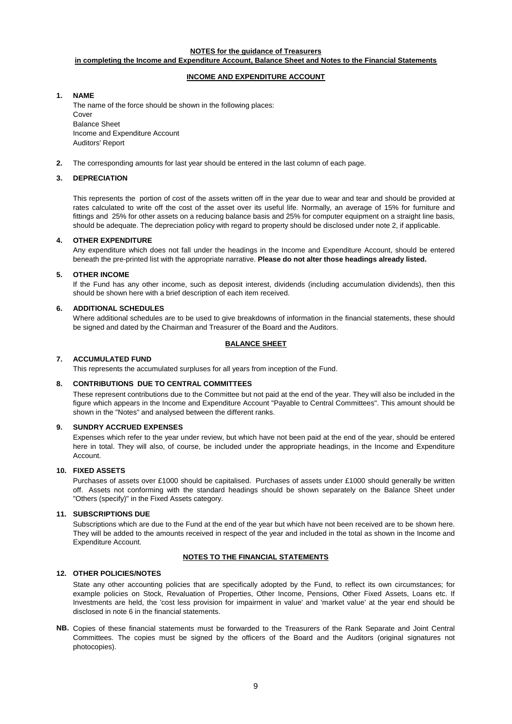#### **NOTES for the guidance of Treasurers**

#### **in completing the Income and Expenditure Account, Balance Sheet and Notes to the Financial Statements**

#### **INCOME AND EXPENDITURE ACCOUNT**

#### **1. NAME**

The name of the force should be shown in the following places: Cover Balance Sheet Income and Expenditure Account Auditors' Report

**2.** The corresponding amounts for last year should be entered in the last column of each page.

#### **3. DEPRECIATION**

This represents the portion of cost of the assets written off in the year due to wear and tear and should be provided at rates calculated to write off the cost of the asset over its useful life. Normally, an average of 15% for furniture and fittings and 25% for other assets on a reducing balance basis and 25% for computer equipment on a straight line basis, should be adequate. The depreciation policy with regard to property should be disclosed under note 2, if applicable.

#### **4. OTHER EXPENDITURE**

Any expenditure which does not fall under the headings in the Income and Expenditure Account, should be entered beneath the pre-printed list with the appropriate narrative. **Please do not alter those headings already listed.**

#### **5. OTHER INCOME**

If the Fund has any other income, such as deposit interest, dividends (including accumulation dividends), then this should be shown here with a brief description of each item received.

#### **6. ADDITIONAL SCHEDULES**

Where additional schedules are to be used to give breakdowns of information in the financial statements, these should be signed and dated by the Chairman and Treasurer of the Board and the Auditors.

#### **BALANCE SHEET**

#### **7. ACCUMULATED FUND**

This represents the accumulated surpluses for all years from inception of the Fund.

#### **8. CONTRIBUTIONS DUE TO CENTRAL COMMITTEES**

These represent contributions due to the Committee but not paid at the end of the year. They will also be included in the figure which appears in the Income and Expenditure Account "Payable to Central Committees". This amount should be shown in the "Notes" and analysed between the different ranks.

#### **9. SUNDRY ACCRUED EXPENSES**

Expenses which refer to the year under review, but which have not been paid at the end of the year, should be entered here in total. They will also, of course, be included under the appropriate headings, in the Income and Expenditure Account.

#### **10. FIXED ASSETS**

Purchases of assets over £1000 should be capitalised. Purchases of assets under £1000 should generally be written off. Assets not conforming with the standard headings should be shown separately on the Balance Sheet under "Others (specify)" in the Fixed Assets category.

#### **11. SUBSCRIPTIONS DUE**

Subscriptions which are due to the Fund at the end of the year but which have not been received are to be shown here. They will be added to the amounts received in respect of the year and included in the total as shown in the Income and Expenditure Account.

#### **NOTES TO THE FINANCIAL STATEMENTS**

#### **12. OTHER POLICIES/NOTES**

State any other accounting policies that are specifically adopted by the Fund, to reflect its own circumstances; for example policies on Stock, Revaluation of Properties, Other Income, Pensions, Other Fixed Assets, Loans etc. If Investments are held, the 'cost less provision for impairment in value' and 'market value' at the year end should be disclosed in note 6 in the financial statements.

**NB.** Copies of these financial statements must be forwarded to the Treasurers of the Rank Separate and Joint Central Committees. The copies must be signed by the officers of the Board and the Auditors (original signatures not photocopies).